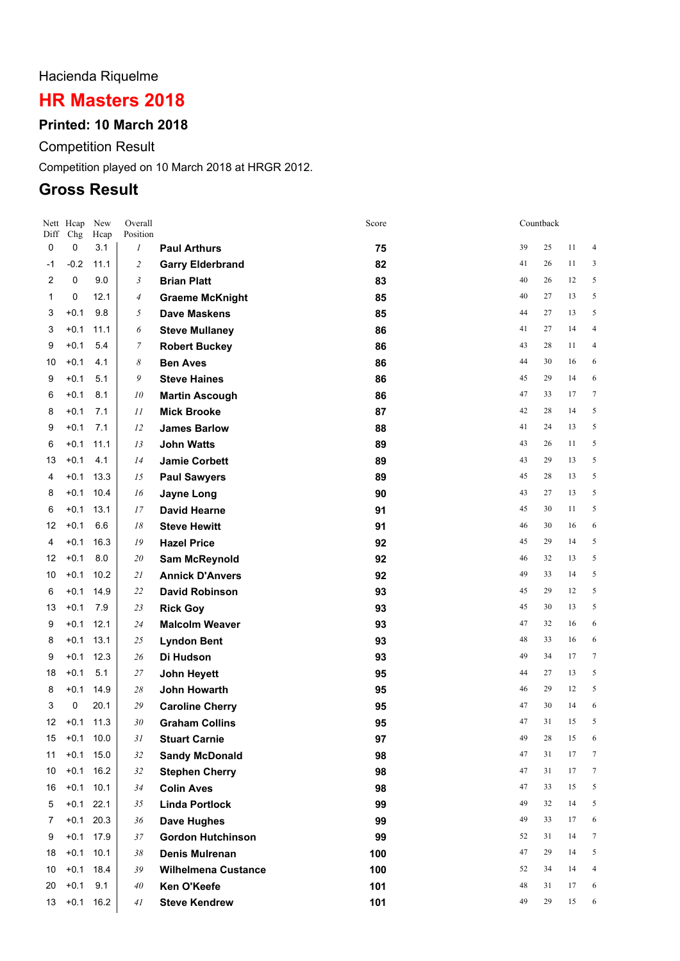# Hacienda Riquelme

# **HR Masters 2018**

# **Printed: 10 March 2018**

Competition Result

Competition played on 10 March 2018 at HRGR 2012.

# **Gross Result**

| Nett<br>Diff        | Hcap<br>Chg      | New<br>Hcap | Overall<br>Position |                                                   | Score      |          | Countback |          |                 |
|---------------------|------------------|-------------|---------------------|---------------------------------------------------|------------|----------|-----------|----------|-----------------|
| 0                   | 0                | 3.1         | 1                   | <b>Paul Arthurs</b>                               | 75         | 39       | 25        | 11       | 4               |
| -1                  | $-0.2$           | 11.1        | $\overline{c}$      | <b>Garry Elderbrand</b>                           | 82         | 41       | 26        | 11       | 3               |
| $\overline{2}$      | $\mathbf 0$      | 9.0         | 3                   | <b>Brian Platt</b>                                | 83         | 40       | 26        | 12       | 5               |
| 1                   | 0                | 12.1        | $\overline{4}$      | <b>Graeme McKnight</b>                            | 85         | 40       | 27        | 13       | 5               |
| 3                   | $+0.1$           | 9.8         | 5                   | <b>Dave Maskens</b>                               | 85         | 44       | 27        | 13       | 5               |
| 3                   | $+0.1$           | 11.1        | 6                   | <b>Steve Mullaney</b>                             | 86         | 41       | 27        | 14       | $\overline{4}$  |
| 9                   | $+0.1$           | 5.4         | 7                   | <b>Robert Buckey</b>                              | 86         | 43       | 28        | 11       | $\overline{4}$  |
| 10                  | $+0.1$           | 4.1         | 8                   | <b>Ben Aves</b>                                   | 86         | 44       | 30        | 16       | 6               |
| 9                   | $+0.1$           | 5.1         | 9                   | <b>Steve Haines</b>                               | 86         | 45       | 29        | 14       | 6               |
| 6                   | $+0.1$           | 8.1         | 10                  | <b>Martin Ascough</b>                             | 86         | 47       | 33        | 17       | 7               |
| 8                   | $+0.1$           | 7.1         | 11                  | <b>Mick Brooke</b>                                | 87         | 42       | 28        | 14       | 5               |
| 9                   | $+0.1$           | 7.1         | 12                  | <b>James Barlow</b>                               | 88         | 41       | 24        | 13       | 5               |
| 6                   | $+0.1$           | 11.1        | 13                  | <b>John Watts</b>                                 | 89         | 43       | 26        | 11       | 5               |
| 13                  | $+0.1$           | 4.1         | 14                  | <b>Jamie Corbett</b>                              | 89         | 43       | 29        | 13       | 5               |
| 4                   | $+0.1$           | 13.3        | 15                  | <b>Paul Sawyers</b>                               | 89         | 45       | 28        | 13       | 5               |
| 8                   | $+0.1$           | 10.4        | 16                  | <b>Jayne Long</b>                                 | 90         | 43       | 27        | 13       | 5               |
| 6                   | $+0.1$           | 13.1        | 17                  | <b>David Hearne</b>                               | 91         | 45       | 30        | 11       | 5               |
| 12                  | $+0.1$           | 6.6         | 18                  | <b>Steve Hewitt</b>                               | 91         | 46       | 30        | 16       | 6               |
| 4                   | $+0.1$           | 16.3        | 19                  | <b>Hazel Price</b>                                | 92         | 45       | 29        | 14       | 5               |
| 12                  | $+0.1$           | 8.0         | 20                  | Sam McReynold                                     | 92         | 46       | 32        | 13       | 5               |
| 10                  | $+0.1$           | 10.2        | 21                  | <b>Annick D'Anvers</b>                            | 92         | 49       | 33        | 14       | 5               |
| 6                   | $+0.1$           | 14.9        | 22                  | <b>David Robinson</b>                             | 93         | 45       | 29        | 12       | 5               |
| 13                  | $+0.1$           | 7.9         | 23                  | <b>Rick Goy</b>                                   | 93         | 45       | 30        | 13       | 5               |
| 9                   | $+0.1$           | 12.1        | 24                  | <b>Malcolm Weaver</b>                             | 93         | 47       | 32        | 16       | 6               |
| 8                   | $+0.1$           | 13.1        | 25                  | <b>Lyndon Bent</b>                                | 93         | 48       | 33        | 16       | 6               |
| 9                   | $+0.1$           | 12.3        | 26                  | Di Hudson                                         | 93         | 49       | 34        | 17       | 7               |
| 18                  | $+0.1$           | 5.1         | 27                  | John Heyett                                       | 95         | 44       | 27        | 13       | 5               |
| 8                   | $+0.1$           | 14.9        | 28                  | <b>John Howarth</b>                               | 95         | 46       | 29        | 12       | 5               |
| 3                   | 0                | 20.1        | 29                  | <b>Caroline Cherry</b>                            | 95         | 47       | 30        | 14       | 6               |
| 12                  | $+0.1$           | 11.3        | 30                  | <b>Graham Collins</b>                             | 95         | 47       | 31        | 15       | 5               |
| 15                  | $+0.1$           | 10.0        | 31                  | <b>Stuart Carnie</b>                              | 97         | 49       | 28        | 15       | 6               |
| 11                  | $+0.1$           | 15.0        | 32                  | <b>Sandy McDonald</b>                             | 98         | 47       | 31        | 17       | $7\phantom{.0}$ |
| 10                  | $+0.1$<br>$+0.1$ | 16.2        | 32                  | <b>Stephen Cherry</b>                             | 98         | 47<br>47 | 31<br>33  | 17<br>15 | $\tau$<br>5     |
| 16                  | $+0.1$ 22.1      | 10.1        | 34                  | <b>Colin Aves</b>                                 | 98         | 49       | 32        | 14       | 5               |
| 5                   | $+0.1$           | 20.3        | 35                  | <b>Linda Portlock</b>                             | 99         | 49       | 33        | 17       | 6               |
| $\overline{7}$<br>9 | $+0.1$           | 17.9        | 36<br>37            | Dave Hughes                                       | 99         | 52       | 31        | 14       | $7\phantom{.0}$ |
| 18                  | $+0.1$           | 10.1        | 38                  | <b>Gordon Hutchinson</b><br><b>Denis Mulrenan</b> | 99         | 47       | 29        | 14       | 5               |
| 10                  | $+0.1$           | 18.4        | 39                  | <b>Wilhelmena Custance</b>                        | 100<br>100 | 52       | 34        | 14       | $\overline{4}$  |
| 20                  | $+0.1$           | 9.1         | 40                  | Ken O'Keefe                                       | 101        | 48       | 31        | 17       | 6               |
| 13                  | $+0.1$           | 16.2        | 41                  | <b>Steve Kendrew</b>                              | 101        | 49       | 29        | 15       | 6               |
|                     |                  |             |                     |                                                   |            |          |           |          |                 |